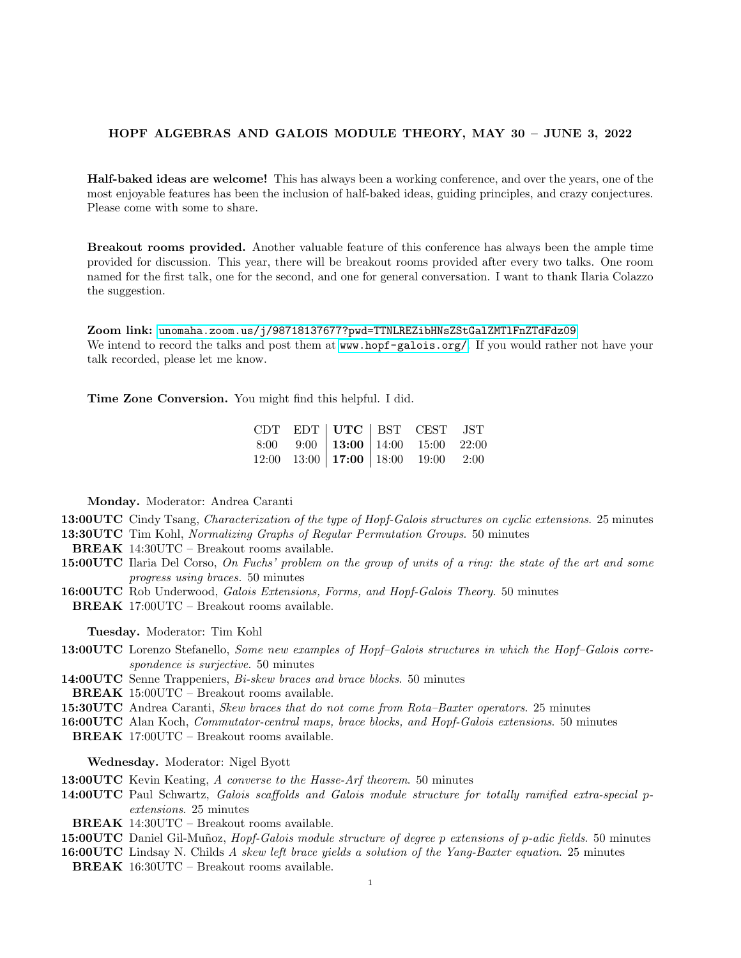# HOPF ALGEBRAS AND GALOIS MODULE THEORY, MAY 30 – JUNE 3, 2022

Half-baked ideas are welcome! This has always been a working conference, and over the years, one of the most enjoyable features has been the inclusion of half-baked ideas, guiding principles, and crazy conjectures. Please come with some to share.

Breakout rooms provided. Another valuable feature of this conference has always been the ample time provided for discussion. This year, there will be breakout rooms provided after every two talks. One room named for the first talk, one for the second, and one for general conversation. I want to thank Ilaria Colazzo the suggestion.

Zoom link: <unomaha.zoom.us/j/98718137677?pwd=TTNLREZibHNsZStGalZMTlFnZTdFdz09> We intend to record the talks and post them at <www.hopf-galois.org/>. If you would rather not have your talk recorded, please let me know.

Time Zone Conversion. You might find this helpful. I did.

|  |  | $\begin{array}{ l c c c c c } \hline \text{CDT} & \text{EDT} & \text{UTC} & \text{BST} & \text{CEST} & \text{JST} \ \hline 8:00 & 9:00 & \textbf{13:00} & \textbf{14:00} & \textbf{15:00} & \textbf{22:00} \ \hline 12:00 & 13:00 & \textbf{17:00} & \textbf{18:00} & \textbf{19:00} & \textbf{2:00} \ \hline \end{array}$ |  |
|--|--|----------------------------------------------------------------------------------------------------------------------------------------------------------------------------------------------------------------------------------------------------------------------------------------------------------------------------|--|

Monday. Moderator: Andrea Caranti

13:00UTC Cindy Tsang, Characterization of the type of Hopf-Galois structures on cyclic extensions. 25 minutes 13:30UTC Tim Kohl, Normalizing Graphs of Regular Permutation Groups. 50 minutes

- BREAK 14:30UTC Breakout rooms available.
- 15:00UTC Ilaria Del Corso, On Fuchs' problem on the group of units of a ring: the state of the art and some progress using braces. 50 minutes
- 16:00UTC Rob Underwood, Galois Extensions, Forms, and Hopf-Galois Theory. 50 minutes

BREAK 17:00UTC – Breakout rooms available.

Tuesday. Moderator: Tim Kohl

13:00UTC Lorenzo Stefanello, Some new examples of Hopf–Galois structures in which the Hopf–Galois correspondence is surjective. 50 minutes

14:00UTC Senne Trappeniers, Bi-skew braces and brace blocks. 50 minutes

BREAK 15:00UTC – Breakout rooms available.

15:30 UTC Andrea Caranti, *Skew braces that do not come from Rota–Baxter operators.* 25 minutes

16:00UTC Alan Koch, Commutator-central maps, brace blocks, and Hopf-Galois extensions. 50 minutes

BREAK 17:00UTC – Breakout rooms available.

Wednesday. Moderator: Nigel Byott

- 13:00UTC Kevin Keating, A converse to the Hasse-Arf theorem. 50 minutes
- 14:00UTC Paul Schwartz, Galois scaffolds and Galois module structure for totally ramified extra-special pextensions. 25 minutes

BREAK 14:30UTC – Breakout rooms available.

- 15:00UTC Daniel Gil-Muñoz, *Hopf-Galois module structure of degree p extensions of p-adic fields*. 50 minutes
- **16:00UTC** Lindsay N. Childs A skew left brace yields a solution of the Yang-Baxter equation. 25 minutes
- BREAK 16:30UTC Breakout rooms available.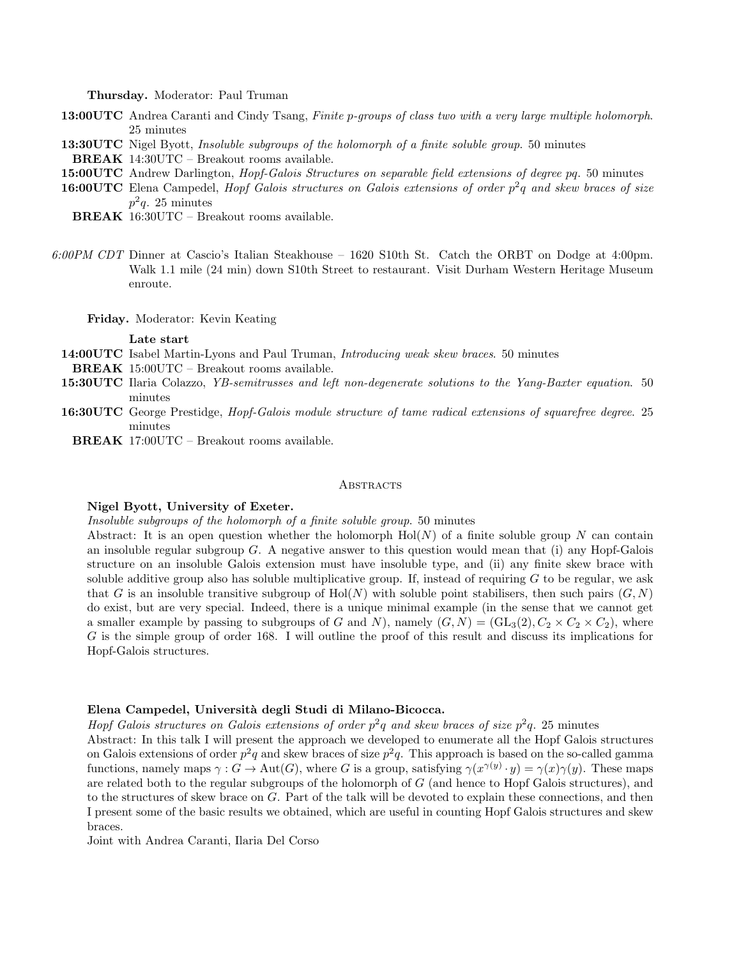Thursday. Moderator: Paul Truman

- 13:00UTC Andrea Caranti and Cindy Tsang, Finite p-groups of class two with a very large multiple holomorph. 25 minutes
- 13:30UTC Nigel Byott, Insoluble subgroups of the holomorph of a finite soluble group. 50 minutes
- BREAK 14:30UTC Breakout rooms available.
- 15:00UTC Andrew Darlington, *Hopf-Galois Structures on separable field extensions of degree pq.* 50 minutes
- **16:00UTC** Elena Campedel, *Hopf Galois structures on Galois extensions of order*  $p^2q$  and skew braces of size  $p^2q$ . 25 minutes
	- BREAK 16:30UTC Breakout rooms available.
- 6:00PM CDT Dinner at Cascio's Italian Steakhouse 1620 S10th St. Catch the ORBT on Dodge at 4:00pm. Walk 1.1 mile (24 min) down S10th Street to restaurant. Visit Durham Western Heritage Museum enroute.

Friday. Moderator: Kevin Keating

#### Late start

14:00UTC Isabel Martin-Lyons and Paul Truman, *Introducing weak skew braces*. 50 minutes

- BREAK 15:00UTC Breakout rooms available.
- **15:30UTC** Ilaria Colazzo, YB-semitrusses and left non-degenerate solutions to the Yang-Baxter equation. 50 minutes
- 16:30UTC George Prestidge, Hopf-Galois module structure of tame radical extensions of squarefree degree. 25 minutes
	- BREAK 17:00UTC Breakout rooms available.

# **ABSTRACTS**

### Nigel Byott, University of Exeter.

Insoluble subgroups of the holomorph of a finite soluble group. 50 minutes

Abstract: It is an open question whether the holomorph  $Hol(N)$  of a finite soluble group N can contain an insoluble regular subgroup G. A negative answer to this question would mean that (i) any Hopf-Galois structure on an insoluble Galois extension must have insoluble type, and (ii) any finite skew brace with soluble additive group also has soluble multiplicative group. If, instead of requiring  $G$  to be regular, we ask that G is an insoluble transitive subgroup of  $Hol(N)$  with soluble point stabilisers, then such pairs  $(G, N)$ do exist, but are very special. Indeed, there is a unique minimal example (in the sense that we cannot get a smaller example by passing to subgroups of G and N), namely  $(G, N) = (\text{GL}_3(2), C_2 \times C_2 \times C_2)$ , where G is the simple group of order 168. I will outline the proof of this result and discuss its implications for Hopf-Galois structures.

# Elena Campedel, Universit`a degli Studi di Milano-Bicocca.

Hopf Galois structures on Galois extensions of order  $p^2q$  and skew braces of size  $p^2q$ . 25 minutes

Abstract: In this talk I will present the approach we developed to enumerate all the Hopf Galois structures on Galois extensions of order  $p^2q$  and skew braces of size  $p^2q$ . This approach is based on the so-called gamma functions, namely maps  $\gamma: G \to \text{Aut}(G)$ , where G is a group, satisfying  $\gamma(x^{\gamma(y)} \cdot y) = \gamma(x)\gamma(y)$ . These maps are related both to the regular subgroups of the holomorph of G (and hence to Hopf Galois structures), and to the structures of skew brace on G. Part of the talk will be devoted to explain these connections, and then I present some of the basic results we obtained, which are useful in counting Hopf Galois structures and skew braces.

Joint with Andrea Caranti, Ilaria Del Corso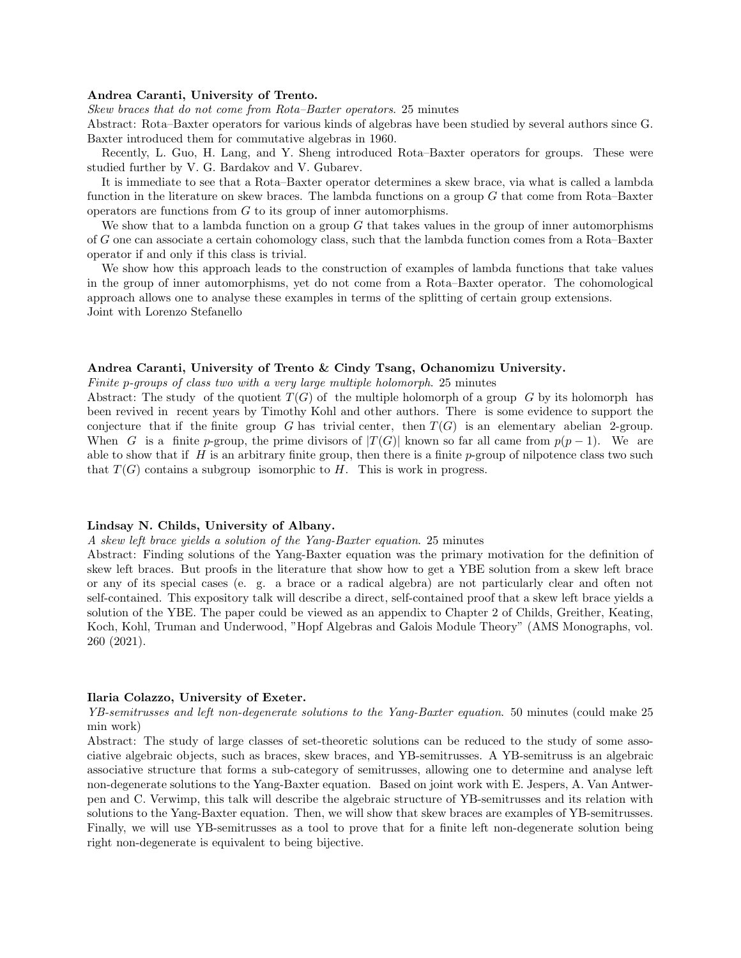#### Andrea Caranti, University of Trento.

Skew braces that do not come from Rota–Baxter operators. 25 minutes

Abstract: Rota–Baxter operators for various kinds of algebras have been studied by several authors since G. Baxter introduced them for commutative algebras in 1960.

Recently, L. Guo, H. Lang, and Y. Sheng introduced Rota–Baxter operators for groups. These were studied further by V. G. Bardakov and V. Gubarev.

It is immediate to see that a Rota–Baxter operator determines a skew brace, via what is called a lambda function in the literature on skew braces. The lambda functions on a group  $G$  that come from Rota–Baxter operators are functions from G to its group of inner automorphisms.

We show that to a lambda function on a group  $G$  that takes values in the group of inner automorphisms of G one can associate a certain cohomology class, such that the lambda function comes from a Rota–Baxter operator if and only if this class is trivial.

We show how this approach leads to the construction of examples of lambda functions that take values in the group of inner automorphisms, yet do not come from a Rota–Baxter operator. The cohomological approach allows one to analyse these examples in terms of the splitting of certain group extensions. Joint with Lorenzo Stefanello

# Andrea Caranti, University of Trento & Cindy Tsang, Ochanomizu University.

Finite p-groups of class two with a very large multiple holomorph. 25 minutes

Abstract: The study of the quotient  $T(G)$  of the multiple holomorph of a group G by its holomorph has been revived in recent years by Timothy Kohl and other authors. There is some evidence to support the conjecture that if the finite group G has trivial center, then  $T(G)$  is an elementary abelian 2-group. When G is a finite p-group, the prime divisors of  $|T(G)|$  known so far all came from  $p(p-1)$ . We are able to show that if  $H$  is an arbitrary finite group, then there is a finite  $p$ -group of nilpotence class two such that  $T(G)$  contains a subgroup isomorphic to H. This is work in progress.

#### Lindsay N. Childs, University of Albany.

A skew left brace yields a solution of the Yang-Baxter equation. 25 minutes

Abstract: Finding solutions of the Yang-Baxter equation was the primary motivation for the definition of skew left braces. But proofs in the literature that show how to get a YBE solution from a skew left brace or any of its special cases (e. g. a brace or a radical algebra) are not particularly clear and often not self-contained. This expository talk will describe a direct, self-contained proof that a skew left brace yields a solution of the YBE. The paper could be viewed as an appendix to Chapter 2 of Childs, Greither, Keating, Koch, Kohl, Truman and Underwood, "Hopf Algebras and Galois Module Theory" (AMS Monographs, vol. 260 (2021).

### Ilaria Colazzo, University of Exeter.

YB-semitrusses and left non-degenerate solutions to the Yang-Baxter equation. 50 minutes (could make 25 min work)

Abstract: The study of large classes of set-theoretic solutions can be reduced to the study of some associative algebraic objects, such as braces, skew braces, and YB-semitrusses. A YB-semitruss is an algebraic associative structure that forms a sub-category of semitrusses, allowing one to determine and analyse left non-degenerate solutions to the Yang-Baxter equation. Based on joint work with E. Jespers, A. Van Antwerpen and C. Verwimp, this talk will describe the algebraic structure of YB-semitrusses and its relation with solutions to the Yang-Baxter equation. Then, we will show that skew braces are examples of YB-semitrusses. Finally, we will use YB-semitrusses as a tool to prove that for a finite left non-degenerate solution being right non-degenerate is equivalent to being bijective.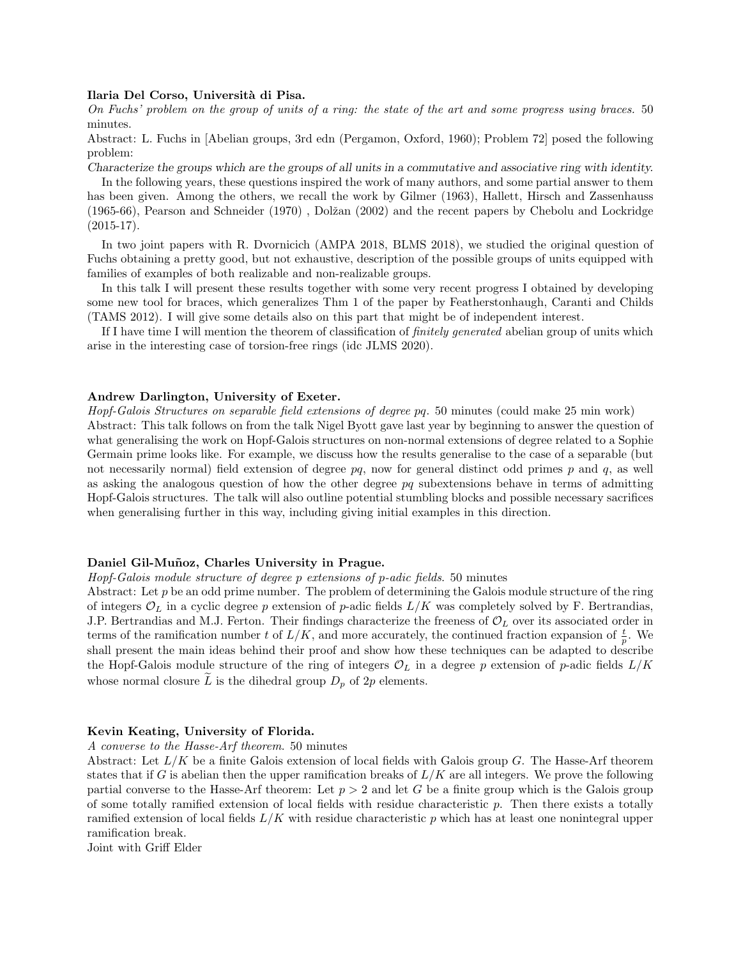### Ilaria Del Corso, Universit`a di Pisa.

On Fuchs' problem on the group of units of a ring: the state of the art and some progress using braces. 50 minutes.

Abstract: L. Fuchs in [Abelian groups, 3rd edn (Pergamon, Oxford, 1960); Problem 72] posed the following problem:

Characterize the groups which are the groups of all units in a commutative and associative ring with identity.

In the following years, these questions inspired the work of many authors, and some partial answer to them has been given. Among the others, we recall the work by Gilmer (1963), Hallett, Hirsch and Zassenhauss (1965-66), Pearson and Schneider (1970), Dolžan (2002) and the recent papers by Chebolu and Lockridge  $(2015-17).$ 

In two joint papers with R. Dvornicich (AMPA 2018, BLMS 2018), we studied the original question of Fuchs obtaining a pretty good, but not exhaustive, description of the possible groups of units equipped with families of examples of both realizable and non-realizable groups.

In this talk I will present these results together with some very recent progress I obtained by developing some new tool for braces, which generalizes Thm 1 of the paper by Featherstonhaugh, Caranti and Childs (TAMS 2012). I will give some details also on this part that might be of independent interest.

If I have time I will mention the theorem of classification of finitely generated abelian group of units which arise in the interesting case of torsion-free rings (idc JLMS 2020).

### Andrew Darlington, University of Exeter.

Hopf-Galois Structures on separable field extensions of degree pq. 50 minutes (could make 25 min work) Abstract: This talk follows on from the talk Nigel Byott gave last year by beginning to answer the question of what generalising the work on Hopf-Galois structures on non-normal extensions of degree related to a Sophie Germain prime looks like. For example, we discuss how the results generalise to the case of a separable (but not necessarily normal) field extension of degree  $pq$ , now for general distinct odd primes p and q, as well as asking the analogous question of how the other degree  $pq$  subextensions behave in terms of admitting Hopf-Galois structures. The talk will also outline potential stumbling blocks and possible necessary sacrifices when generalising further in this way, including giving initial examples in this direction.

# Daniel Gil-Muñoz, Charles University in Prague.

Hopf-Galois module structure of degree p extensions of p-adic fields. 50 minutes

Abstract: Let  $p$  be an odd prime number. The problem of determining the Galois module structure of the ring of integers  $\mathcal{O}_L$  in a cyclic degree p extension of p-adic fields  $L/K$  was completely solved by F. Bertrandias, J.P. Bertrandias and M.J. Ferton. Their findings characterize the freeness of  $\mathcal{O}_L$  over its associated order in terms of the ramification number t of  $L/K$ , and more accurately, the continued fraction expansion of  $\frac{t}{p}$ . We shall present the main ideas behind their proof and show how these techniques can be adapted to describe the Hopf-Galois module structure of the ring of integers  $\mathcal{O}_L$  in a degree p extension of p-adic fields  $L/K$ whose normal closure  $\tilde{L}$  is the dihedral group  $D_p$  of  $2p$  elements.

### Kevin Keating, University of Florida.

A converse to the Hasse-Arf theorem. 50 minutes

Abstract: Let  $L/K$  be a finite Galois extension of local fields with Galois group G. The Hasse-Arf theorem states that if G is abelian then the upper ramification breaks of  $L/K$  are all integers. We prove the following partial converse to the Hasse-Arf theorem: Let  $p > 2$  and let G be a finite group which is the Galois group of some totally ramified extension of local fields with residue characteristic p. Then there exists a totally ramified extension of local fields  $L/K$  with residue characteristic p which has at least one nonintegral upper ramification break.

Joint with Griff Elder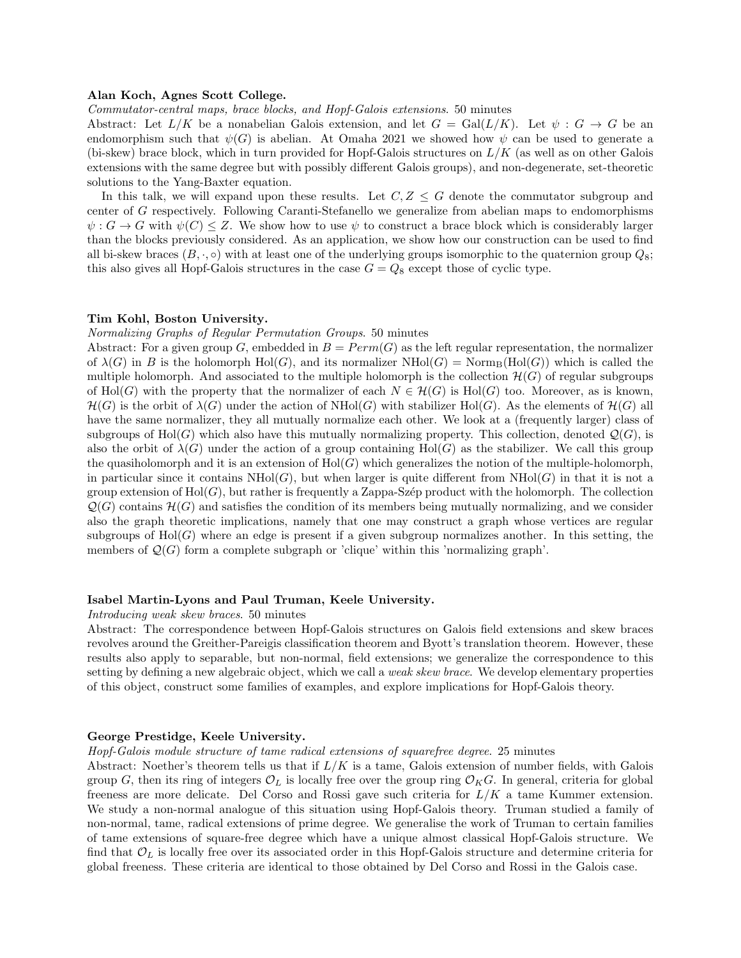#### Alan Koch, Agnes Scott College.

Commutator-central maps, brace blocks, and Hopf-Galois extensions. 50 minutes

Abstract: Let  $L/K$  be a nonabelian Galois extension, and let  $G = \text{Gal}(L/K)$ . Let  $\psi : G \to G$  be an endomorphism such that  $\psi(G)$  is abelian. At Omaha 2021 we showed how  $\psi$  can be used to generate a (bi-skew) brace block, which in turn provided for Hopf-Galois structures on  $L/K$  (as well as on other Galois extensions with the same degree but with possibly different Galois groups), and non-degenerate, set-theoretic solutions to the Yang-Baxter equation.

In this talk, we will expand upon these results. Let  $C, Z \leq G$  denote the commutator subgroup and center of G respectively. Following Caranti-Stefanello we generalize from abelian maps to endomorphisms  $\psi: G \to G$  with  $\psi(C) \leq Z$ . We show how to use  $\psi$  to construct a brace block which is considerably larger than the blocks previously considered. As an application, we show how our construction can be used to find all bi-skew braces  $(B, \cdot, \circ)$  with at least one of the underlying groups isomorphic to the quaternion group  $Q_8$ ; this also gives all Hopf-Galois structures in the case  $G = Q_8$  except those of cyclic type.

### Tim Kohl, Boston University.

Normalizing Graphs of Regular Permutation Groups. 50 minutes

Abstract: For a given group G, embedded in  $B = Perm(G)$  as the left regular representation, the normalizer of  $\lambda(G)$  in B is the holomorph  $Hol(G)$ , and its normalizer  $NHol(G)$  = Norm $_B(Hol(G))$  which is called the multiple holomorph. And associated to the multiple holomorph is the collection  $\mathcal{H}(G)$  of regular subgroups of Hol(G) with the property that the normalizer of each  $N \in \mathcal{H}(G)$  is Hol(G) too. Moreover, as is known,  $\mathcal{H}(G)$  is the orbit of  $\lambda(G)$  under the action of NHol(G) with stabilizer Hol(G). As the elements of  $\mathcal{H}(G)$  all have the same normalizer, they all mutually normalize each other. We look at a (frequently larger) class of subgroups of Hol(G) which also have this mutually normalizing property. This collection, denoted  $\mathcal{Q}(G)$ , is also the orbit of  $\lambda(G)$  under the action of a group containing Hol(G) as the stabilizer. We call this group the quasiholomorph and it is an extension of  $Hol(G)$  which generalizes the notion of the multiple-holomorph, in particular since it contains  $NHol(G)$ , but when larger is quite different from  $NHol(G)$  in that it is not a group extension of  $Hol(G)$ , but rather is frequently a Zappa-Szép product with the holomorph. The collection  $\mathcal{Q}(G)$  contains  $\mathcal{H}(G)$  and satisfies the condition of its members being mutually normalizing, and we consider also the graph theoretic implications, namely that one may construct a graph whose vertices are regular subgroups of  $Hol(G)$  where an edge is present if a given subgroup normalizes another. In this setting, the members of  $\mathcal{Q}(G)$  form a complete subgraph or 'clique' within this 'normalizing graph'.

## Isabel Martin-Lyons and Paul Truman, Keele University.

Introducing weak skew braces. 50 minutes

Abstract: The correspondence between Hopf-Galois structures on Galois field extensions and skew braces revolves around the Greither-Pareigis classification theorem and Byott's translation theorem. However, these results also apply to separable, but non-normal, field extensions; we generalize the correspondence to this setting by defining a new algebraic object, which we call a *weak skew brace*. We develop elementary properties of this object, construct some families of examples, and explore implications for Hopf-Galois theory.

# George Prestidge, Keele University.

Hopf-Galois module structure of tame radical extensions of squarefree degree. 25 minutes

Abstract: Noether's theorem tells us that if  $L/K$  is a tame, Galois extension of number fields, with Galois group G, then its ring of integers  $\mathcal{O}_L$  is locally free over the group ring  $\mathcal{O}_K G$ . In general, criteria for global freeness are more delicate. Del Corso and Rossi gave such criteria for  $L/K$  a tame Kummer extension. We study a non-normal analogue of this situation using Hopf-Galois theory. Truman studied a family of non-normal, tame, radical extensions of prime degree. We generalise the work of Truman to certain families of tame extensions of square-free degree which have a unique almost classical Hopf-Galois structure. We find that  $\mathcal{O}_L$  is locally free over its associated order in this Hopf-Galois structure and determine criteria for global freeness. These criteria are identical to those obtained by Del Corso and Rossi in the Galois case.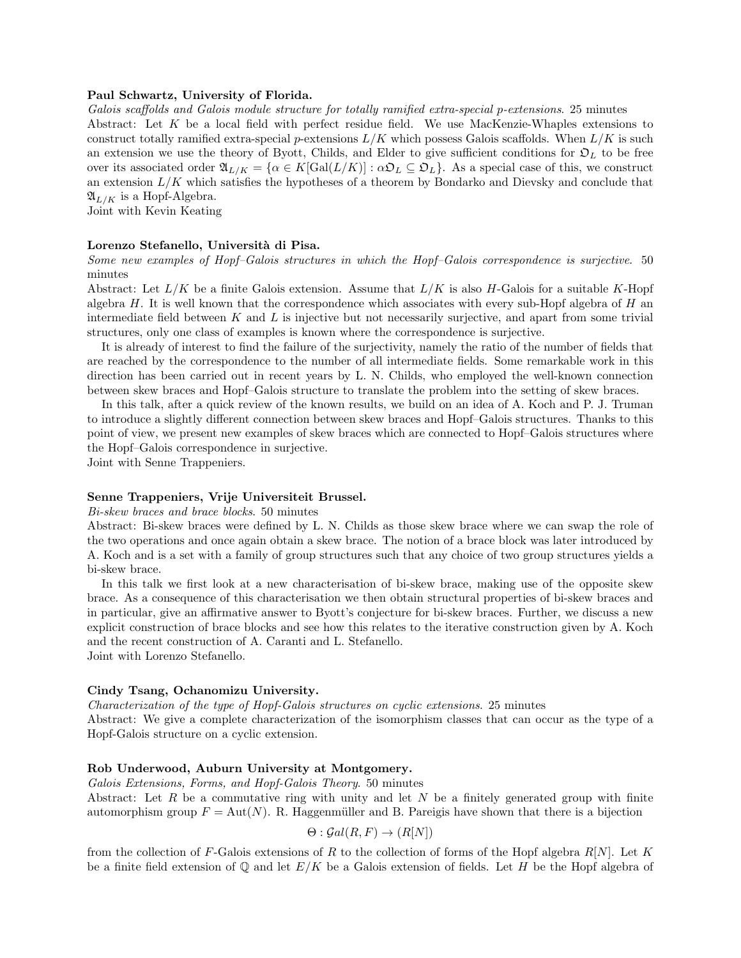#### Paul Schwartz, University of Florida.

Galois scaffolds and Galois module structure for totally ramified extra-special p-extensions. 25 minutes Abstract: Let K be a local field with perfect residue field. We use MacKenzie-Whaples extensions to construct totally ramified extra-special p-extensions  $L/K$  which possess Galois scaffolds. When  $L/K$  is such an extension we use the theory of Byott, Childs, and Elder to give sufficient conditions for  $\mathfrak{O}_L$  to be free over its associated order  $\mathfrak{A}_{L/K} = {\alpha \in K[\text{Gal}(L/K)] : \alpha \mathfrak{D}_L \subseteq \mathfrak{D}_L}.$  As a special case of this, we construct an extension  $L/K$  which satisfies the hypotheses of a theorem by Bondarko and Dievsky and conclude that  $\mathfrak{A}_{L/K}$  is a Hopf-Algebra.

Joint with Kevin Keating

# Lorenzo Stefanello, Università di Pisa.

Some new examples of Hopf–Galois structures in which the Hopf–Galois correspondence is surjective. 50 minutes

Abstract: Let  $L/K$  be a finite Galois extension. Assume that  $L/K$  is also H-Galois for a suitable K-Hopf algebra  $H$ . It is well known that the correspondence which associates with every sub-Hopf algebra of  $H$  and intermediate field between  $K$  and  $L$  is injective but not necessarily surjective, and apart from some trivial structures, only one class of examples is known where the correspondence is surjective.

It is already of interest to find the failure of the surjectivity, namely the ratio of the number of fields that are reached by the correspondence to the number of all intermediate fields. Some remarkable work in this direction has been carried out in recent years by L. N. Childs, who employed the well-known connection between skew braces and Hopf–Galois structure to translate the problem into the setting of skew braces.

In this talk, after a quick review of the known results, we build on an idea of A. Koch and P. J. Truman to introduce a slightly different connection between skew braces and Hopf–Galois structures. Thanks to this point of view, we present new examples of skew braces which are connected to Hopf–Galois structures where the Hopf–Galois correspondence in surjective.

Joint with Senne Trappeniers.

#### Senne Trappeniers, Vrije Universiteit Brussel.

Bi-skew braces and brace blocks. 50 minutes

Abstract: Bi-skew braces were defined by L. N. Childs as those skew brace where we can swap the role of the two operations and once again obtain a skew brace. The notion of a brace block was later introduced by A. Koch and is a set with a family of group structures such that any choice of two group structures yields a bi-skew brace.

In this talk we first look at a new characterisation of bi-skew brace, making use of the opposite skew brace. As a consequence of this characterisation we then obtain structural properties of bi-skew braces and in particular, give an affirmative answer to Byott's conjecture for bi-skew braces. Further, we discuss a new explicit construction of brace blocks and see how this relates to the iterative construction given by A. Koch and the recent construction of A. Caranti and L. Stefanello. Joint with Lorenzo Stefanello.

# Cindy Tsang, Ochanomizu University.

Characterization of the type of Hopf-Galois structures on cyclic extensions. 25 minutes

Abstract: We give a complete characterization of the isomorphism classes that can occur as the type of a Hopf-Galois structure on a cyclic extension.

### Rob Underwood, Auburn University at Montgomery.

Galois Extensions, Forms, and Hopf-Galois Theory. 50 minutes

Abstract: Let R be a commutative ring with unity and let N be a finitely generated group with finite automorphism group  $F = Aut(N)$ . R. Haggenmüller and B. Pareigis have shown that there is a bijection

$$
\Theta : \mathcal{G}al(R, F) \to (R[N])
$$

from the collection of F-Galois extensions of R to the collection of forms of the Hopf algebra  $R[N]$ . Let K be a finite field extension of  $\mathbb Q$  and let  $E/K$  be a Galois extension of fields. Let H be the Hopf algebra of